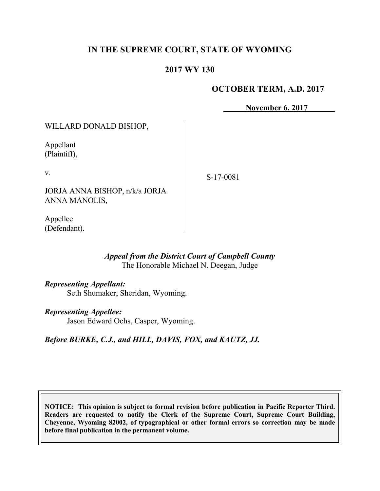# **IN THE SUPREME COURT, STATE OF WYOMING**

### **2017 WY 130**

### **OCTOBER TERM, A.D. 2017**

**November 6, 2017**

WILLARD DONALD BISHOP,

Appellant (Plaintiff),

v.

S-17-0081

JORJA ANNA BISHOP, n/k/a JORJA ANNA MANOLIS,

Appellee (Defendant).

#### *Appeal from the District Court of Campbell County* The Honorable Michael N. Deegan, Judge

*Representing Appellant:* Seth Shumaker, Sheridan, Wyoming.

*Representing Appellee:*

Jason Edward Ochs, Casper, Wyoming.

*Before BURKE, C.J., and HILL, DAVIS, FOX, and KAUTZ, JJ.*

**NOTICE: This opinion is subject to formal revision before publication in Pacific Reporter Third. Readers are requested to notify the Clerk of the Supreme Court, Supreme Court Building, Cheyenne, Wyoming 82002, of typographical or other formal errors so correction may be made before final publication in the permanent volume.**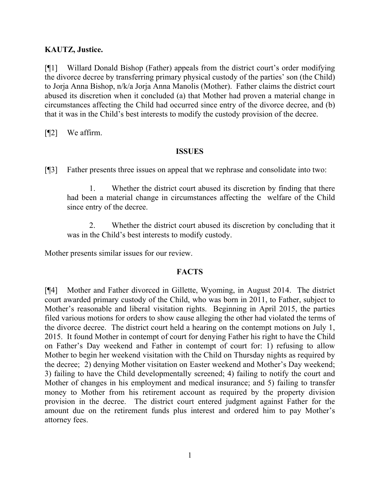### **KAUTZ, Justice.**

[¶1] Willard Donald Bishop (Father) appeals from the district court's order modifying the divorce decree by transferring primary physical custody of the parties' son (the Child) to Jorja Anna Bishop, n/k/a Jorja Anna Manolis (Mother). Father claims the district court abused its discretion when it concluded (a) that Mother had proven a material change in circumstances affecting the Child had occurred since entry of the divorce decree, and (b) that it was in the Child's best interests to modify the custody provision of the decree.

[¶2] We affirm.

#### **ISSUES**

[¶3] Father presents three issues on appeal that we rephrase and consolidate into two:

1. Whether the district court abused its discretion by finding that there had been a material change in circumstances affecting the welfare of the Child since entry of the decree.

2. Whether the district court abused its discretion by concluding that it was in the Child's best interests to modify custody.

Mother presents similar issues for our review.

### **FACTS**

[¶4] Mother and Father divorced in Gillette, Wyoming, in August 2014. The district court awarded primary custody of the Child, who was born in 2011, to Father, subject to Mother's reasonable and liberal visitation rights. Beginning in April 2015, the parties filed various motions for orders to show cause alleging the other had violated the terms of the divorce decree. The district court held a hearing on the contempt motions on July 1, 2015. It found Mother in contempt of court for denying Father his right to have the Child on Father's Day weekend and Father in contempt of court for: 1) refusing to allow Mother to begin her weekend visitation with the Child on Thursday nights as required by the decree; 2) denying Mother visitation on Easter weekend and Mother's Day weekend; 3) failing to have the Child developmentally screened; 4) failing to notify the court and Mother of changes in his employment and medical insurance; and 5) failing to transfer money to Mother from his retirement account as required by the property division provision in the decree. The district court entered judgment against Father for the amount due on the retirement funds plus interest and ordered him to pay Mother's attorney fees.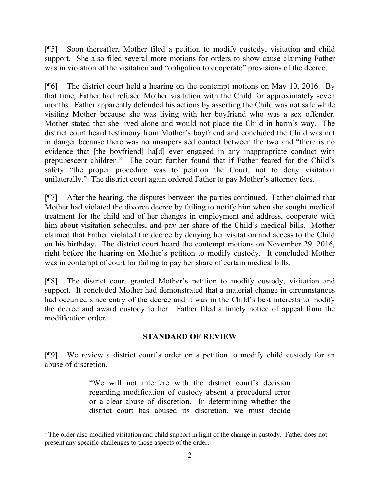[¶5] Soon thereafter, Mother filed a petition to modify custody, visitation and child support. She also filed several more motions for orders to show cause claiming Father was in violation of the visitation and "obligation to cooperate" provisions of the decree.

[¶6] The district court held a hearing on the contempt motions on May 10, 2016. By that time, Father had refused Mother visitation with the Child for approximately seven months. Father apparently defended his actions by asserting the Child was not safe while visiting Mother because she was living with her boyfriend who was a sex offender. Mother stated that she lived alone and would not place the Child in harm's way. The district court heard testimony from Mother's boyfriend and concluded the Child was not in danger because there was no unsupervised contact between the two and "there is no evidence that [the boyfriend] ha[d] ever engaged in any inappropriate conduct with prepubescent children." The court further found that if Father feared for the Child's safety "the proper procedure was to petition the Court, not to deny visitation unilaterally." The district court again ordered Father to pay Mother's attorney fees.

[¶7] After the hearing, the disputes between the parties continued. Father claimed that Mother had violated the divorce decree by failing to notify him when she sought medical treatment for the child and of her changes in employment and address, cooperate with him about visitation schedules, and pay her share of the Child's medical bills. Mother claimed that Father violated the decree by denying her visitation and access to the Child on his birthday. The district court heard the contempt motions on November 29, 2016, right before the hearing on Mother's petition to modify custody. It concluded Mother was in contempt of court for failing to pay her share of certain medical bills.

[¶8] The district court granted Mother's petition to modify custody, visitation and support. It concluded Mother had demonstrated that a material change in circumstances had occurred since entry of the decree and it was in the Child's best interests to modify the decree and award custody to her. Father filed a timely notice of appeal from the modification order.<sup>1</sup>

### **STANDARD OF REVIEW**

[¶9] We review a district court's order on a petition to modify child custody for an abuse of discretion.

> "We will not interfere with the district court's decision regarding modification of custody absent a procedural error or a clear abuse of discretion. In determining whether the district court has abused its discretion, we must decide

 $1$  The order also modified visitation and child support in light of the change in custody. Father does not present any specific challenges to those aspects of the order.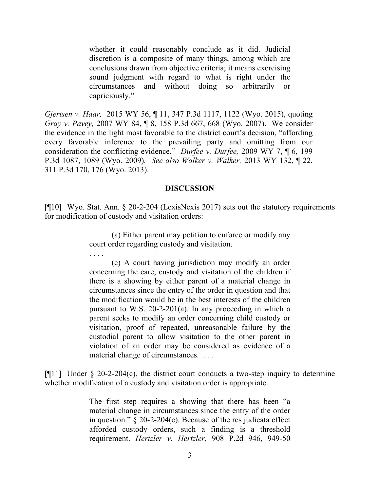whether it could reasonably conclude as it did. Judicial discretion is a composite of many things, among which are conclusions drawn from objective criteria; it means exercising sound judgment with regard to what is right under the circumstances and without doing so arbitrarily or capriciously."

*Gjertsen v. Haar,* 2015 WY 56, ¶ 11, 347 P.3d 1117, 1122 (Wyo. 2015), quoting *Gray v. Pavey,* 2007 WY 84, ¶ 8, 158 P.3d 667, 668 (Wyo. 2007). We consider the evidence in the light most favorable to the district court's decision, "affording every favorable inference to the prevailing party and omitting from our consideration the conflicting evidence." *Durfee v. Durfee,* 2009 WY 7, ¶ 6, 199 P.3d 1087, 1089 (Wyo. 2009). *See also Walker v. Walker,* 2013 WY 132, ¶ 22, 311 P.3d 170, 176 (Wyo. 2013).

#### **DISCUSSION**

[¶10] Wyo. Stat. Ann. § 20-2-204 (LexisNexis 2017) sets out the statutory requirements for modification of custody and visitation orders:

> (a) Either parent may petition to enforce or modify any court order regarding custody and visitation.

. . . .

(c) A court having jurisdiction may modify an order concerning the care, custody and visitation of the children if there is a showing by either parent of a material change in circumstances since the entry of the order in question and that the modification would be in the best interests of the children pursuant to W.S. 20-2-201(a). In any proceeding in which a parent seeks to modify an order concerning child custody or visitation, proof of repeated, unreasonable failure by the custodial parent to allow visitation to the other parent in violation of an order may be considered as evidence of a material change of circumstances. . . .

 $[911]$  Under § 20-2-204(c), the district court conducts a two-step inquiry to determine whether modification of a custody and visitation order is appropriate.

> The first step requires a showing that there has been "a material change in circumstances since the entry of the order in question." § 20-2-204(c). Because of the res judicata effect afforded custody orders, such a finding is a threshold requirement. *Hertzler v. Hertzler,* 908 P.2d 946, 949-50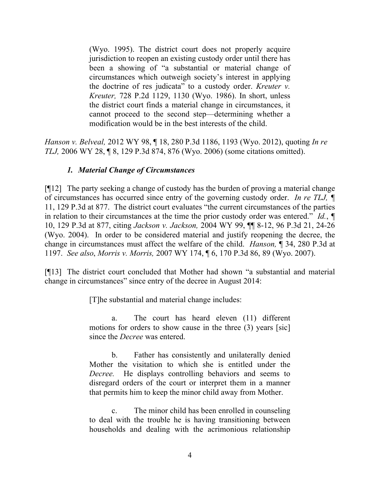(Wyo. 1995). The district court does not properly acquire jurisdiction to reopen an existing custody order until there has been a showing of "a substantial or material change of circumstances which outweigh society's interest in applying the doctrine of res judicata" to a custody order. *Kreuter v. Kreuter,* 728 P.2d 1129, 1130 (Wyo. 1986). In short, unless the district court finds a material change in circumstances, it cannot proceed to the second step—determining whether a modification would be in the best interests of the child.

*Hanson v. Belveal,* 2012 WY 98, ¶ 18, 280 P.3d 1186, 1193 (Wyo. 2012), quoting *In re TLJ,* 2006 WY 28, ¶ 8, 129 P.3d 874, 876 (Wyo. 2006) (some citations omitted).

## *1. Material Change of Circumstances*

[¶12] The party seeking a change of custody has the burden of proving a material change of circumstances has occurred since entry of the governing custody order. *In re TLJ, ¶*  11, 129 P.3d at 877. The district court evaluates "the current circumstances of the parties in relation to their circumstances at the time the prior custody order was entered." *Id.*, *¶*  10, 129 P.3d at 877, citing *Jackson v. Jackson,* 2004 WY 99, ¶¶ 8-12, 96 P.3d 21, 24-26 (Wyo. 2004). In order to be considered material and justify reopening the decree, the change in circumstances must affect the welfare of the child. *Hanson,* ¶ 34, 280 P.3d at 1197. *See also*, *Morris v. Morris,* 2007 WY 174, ¶ 6, 170 P.3d 86, 89 (Wyo. 2007).

[¶13] The district court concluded that Mother had shown "a substantial and material change in circumstances" since entry of the decree in August 2014:

[T]he substantial and material change includes:

a. The court has heard eleven (11) different motions for orders to show cause in the three (3) years [sic] since the *Decree* was entered.

b. Father has consistently and unilaterally denied Mother the visitation to which she is entitled under the *Decree.* He displays controlling behaviors and seems to disregard orders of the court or interpret them in a manner that permits him to keep the minor child away from Mother.

c. The minor child has been enrolled in counseling to deal with the trouble he is having transitioning between households and dealing with the acrimonious relationship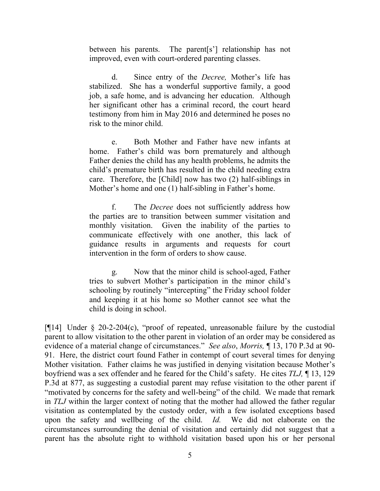between his parents. The parent[s'] relationship has not improved, even with court-ordered parenting classes.

d. Since entry of the *Decree,* Mother's life has stabilized. She has a wonderful supportive family, a good job, a safe home, and is advancing her education. Although her significant other has a criminal record, the court heard testimony from him in May 2016 and determined he poses no risk to the minor child.

e. Both Mother and Father have new infants at home. Father's child was born prematurely and although Father denies the child has any health problems, he admits the child's premature birth has resulted in the child needing extra care. Therefore, the [Child] now has two (2) half-siblings in Mother's home and one (1) half-sibling in Father's home.

f. The *Decree* does not sufficiently address how the parties are to transition between summer visitation and monthly visitation. Given the inability of the parties to communicate effectively with one another, this lack of guidance results in arguments and requests for court intervention in the form of orders to show cause.

g. Now that the minor child is school-aged, Father tries to subvert Mother's participation in the minor child's schooling by routinely "intercepting" the Friday school folder and keeping it at his home so Mother cannot see what the child is doing in school.

[¶14] Under § 20-2-204(c), "proof of repeated, unreasonable failure by the custodial parent to allow visitation to the other parent in violation of an order may be considered as evidence of a material change of circumstances." *See also*, *Morris,* ¶ 13, 170 P.3d at 90- 91. Here, the district court found Father in contempt of court several times for denying Mother visitation. Father claims he was justified in denying visitation because Mother's boyfriend was a sex offender and he feared for the Child's safety. He cites *TLJ,* ¶ 13, 129 P.3d at 877, as suggesting a custodial parent may refuse visitation to the other parent if "motivated by concerns for the safety and well-being" of the child. We made that remark in *TLJ* within the larger context of noting that the mother had allowed the father regular visitation as contemplated by the custody order, with a few isolated exceptions based upon the safety and wellbeing of the child. *Id.* We did not elaborate on the circumstances surrounding the denial of visitation and certainly did not suggest that a parent has the absolute right to withhold visitation based upon his or her personal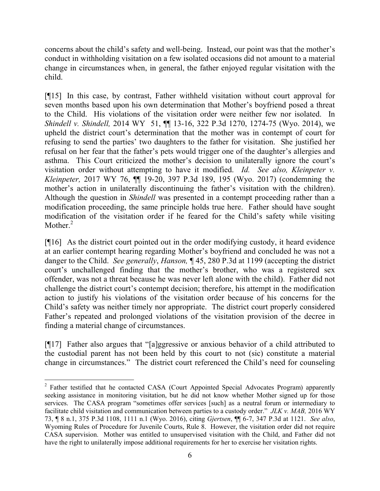concerns about the child's safety and well-being. Instead, our point was that the mother's conduct in withholding visitation on a few isolated occasions did not amount to a material change in circumstances when, in general, the father enjoyed regular visitation with the child.

[¶15] In this case, by contrast, Father withheld visitation without court approval for seven months based upon his own determination that Mother's boyfriend posed a threat to the Child. His violations of the visitation order were neither few nor isolated. In *Shindell v. Shindell,* 2014 WY 51, ¶¶ 13-16, 322 P.3d 1270, 1274-75 (Wyo. 2014), we upheld the district court's determination that the mother was in contempt of court for refusing to send the parties' two daughters to the father for visitation. She justified her refusal on her fear that the father's pets would trigger one of the daughter's allergies and asthma. This Court criticized the mother's decision to unilaterally ignore the court's visitation order without attempting to have it modified. *Id. See also, Kleinpeter v. Kleinpeter,* 2017 WY 76, ¶¶ 19-20, 397 P.3d 189, 195 (Wyo. 2017) (condemning the mother's action in unilaterally discontinuing the father's visitation with the children). Although the question in *Shindell* was presented in a contempt proceeding rather than a modification proceeding, the same principle holds true here. Father should have sought modification of the visitation order if he feared for the Child's safety while visiting Mother. $2$ 

[¶16] As the district court pointed out in the order modifying custody, it heard evidence at an earlier contempt hearing regarding Mother's boyfriend and concluded he was not a danger to the Child. *See generally*, *Hanson,* ¶ 45, 280 P.3d at 1199 (accepting the district court's unchallenged finding that the mother's brother, who was a registered sex offender, was not a threat because he was never left alone with the child). Father did not challenge the district court's contempt decision; therefore, his attempt in the modification action to justify his violations of the visitation order because of his concerns for the Child's safety was neither timely nor appropriate. The district court properly considered Father's repeated and prolonged violations of the visitation provision of the decree in finding a material change of circumstances.

[¶17] Father also argues that "[a]ggressive or anxious behavior of a child attributed to the custodial parent has not been held by this court to not (sic) constitute a material change in circumstances." The district court referenced the Child's need for counseling

l

<sup>&</sup>lt;sup>2</sup> Father testified that he contacted CASA (Court Appointed Special Advocates Program) apparently seeking assistance in monitoring visitation, but he did not know whether Mother signed up for those services. The CASA program "sometimes offer services [such] as a neutral forum or intermediary to facilitate child visitation and communication between parties to a custody order." *JLK v. MAB,* 2016 WY 73, ¶ 8 n.1, 375 P.3d 1108, 1111 n.1 (Wyo. 2016), citing *Gjertsen*, ¶¶ 6-7, 347 P.3d at 1121. *See also*, Wyoming Rules of Procedure for Juvenile Courts, Rule 8. However, the visitation order did not require CASA supervision. Mother was entitled to unsupervised visitation with the Child, and Father did not have the right to unilaterally impose additional requirements for her to exercise her visitation rights.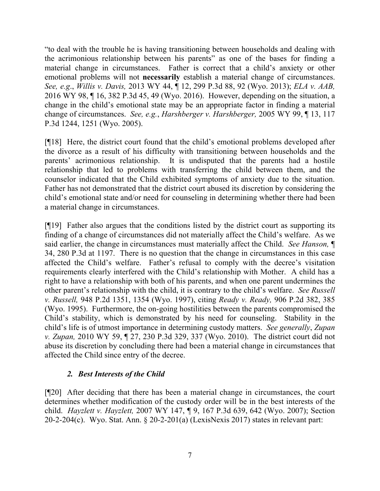"to deal with the trouble he is having transitioning between households and dealing with the acrimonious relationship between his parents" as one of the bases for finding a material change in circumstances. Father is correct that a child's anxiety or other emotional problems will not **necessarily** establish a material change of circumstances. *See, e.g*., *Willis v. Davis,* 2013 WY 44, ¶ 12, 299 P.3d 88, 92 (Wyo. 2013); *ELA v. AAB,*  2016 WY 98, ¶ 16, 382 P.3d 45, 49 (Wyo. 2016). However, depending on the situation, a change in the child's emotional state may be an appropriate factor in finding a material change of circumstances. *See, e.g.*, *Harshberger v. Harshberger,* 2005 WY 99, ¶ 13, 117 P.3d 1244, 1251 (Wyo. 2005).

[¶18] Here, the district court found that the child's emotional problems developed after the divorce as a result of his difficulty with transitioning between households and the parents' acrimonious relationship. It is undisputed that the parents had a hostile relationship that led to problems with transferring the child between them, and the counselor indicated that the Child exhibited symptoms of anxiety due to the situation. Father has not demonstrated that the district court abused its discretion by considering the child's emotional state and/or need for counseling in determining whether there had been a material change in circumstances.

[¶19] Father also argues that the conditions listed by the district court as supporting its finding of a change of circumstances did not materially affect the Child's welfare. As we said earlier, the change in circumstances must materially affect the Child. *See Hanson,* ¶ 34, 280 P.3d at 1197. There is no question that the change in circumstances in this case affected the Child's welfare. Father's refusal to comply with the decree's visitation requirements clearly interfered with the Child's relationship with Mother. A child has a right to have a relationship with both of his parents, and when one parent undermines the other parent's relationship with the child, it is contrary to the child's welfare. *See Russell v. Russell,* 948 P.2d 1351, 1354 (Wyo. 1997), citing *Ready v. Ready,* 906 P.2d 382, 385 (Wyo. 1995). Furthermore, the on-going hostilities between the parents compromised the Child's stability, which is demonstrated by his need for counseling. Stability in the child's life is of utmost importance in determining custody matters. *See generally*, *Zupan v. Zupan,* 2010 WY 59, ¶ 27, 230 P.3d 329, 337 (Wyo. 2010). The district court did not abuse its discretion by concluding there had been a material change in circumstances that affected the Child since entry of the decree.

# *2. Best Interests of the Child*

[¶20] After deciding that there has been a material change in circumstances, the court determines whether modification of the custody order will be in the best interests of the child. *Hayzlett v. Hayzlett,* 2007 WY 147, ¶ 9, 167 P.3d 639, 642 (Wyo. 2007); Section 20-2-204(c). Wyo. Stat. Ann. § 20-2-201(a) (LexisNexis 2017) states in relevant part: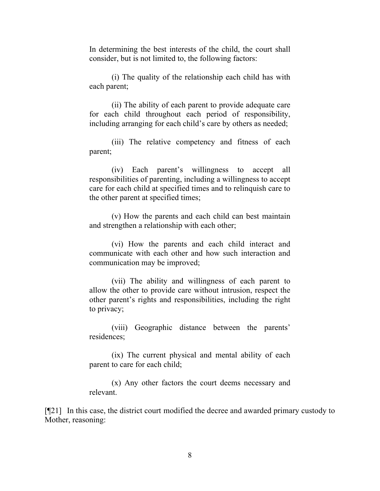In determining the best interests of the child, the court shall consider, but is not limited to, the following factors:

(i) The quality of the relationship each child has with each parent;

(ii) The ability of each parent to provide adequate care for each child throughout each period of responsibility, including arranging for each child's care by others as needed;

(iii) The relative competency and fitness of each parent;

(iv) Each parent's willingness to accept all responsibilities of parenting, including a willingness to accept care for each child at specified times and to relinquish care to the other parent at specified times;

(v) How the parents and each child can best maintain and strengthen a relationship with each other;

(vi) How the parents and each child interact and communicate with each other and how such interaction and communication may be improved;

(vii) The ability and willingness of each parent to allow the other to provide care without intrusion, respect the other parent's rights and responsibilities, including the right to privacy;

(viii) Geographic distance between the parents' residences;

(ix) The current physical and mental ability of each parent to care for each child;

(x) Any other factors the court deems necessary and relevant.

[¶21] In this case, the district court modified the decree and awarded primary custody to Mother, reasoning: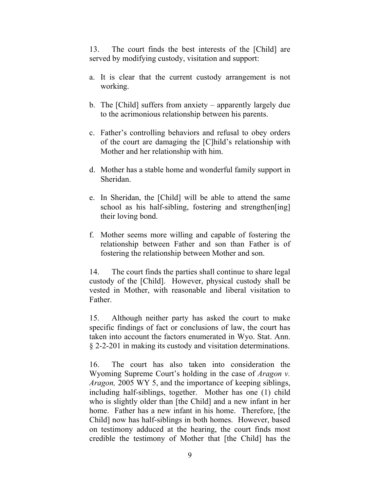13. The court finds the best interests of the [Child] are served by modifying custody, visitation and support:

- a. It is clear that the current custody arrangement is not working.
- b. The [Child] suffers from anxiety apparently largely due to the acrimonious relationship between his parents.
- c. Father's controlling behaviors and refusal to obey orders of the court are damaging the [C]hild's relationship with Mother and her relationship with him.
- d. Mother has a stable home and wonderful family support in Sheridan.
- e. In Sheridan, the [Child] will be able to attend the same school as his half-sibling, fostering and strengthen[ing] their loving bond.
- f. Mother seems more willing and capable of fostering the relationship between Father and son than Father is of fostering the relationship between Mother and son.

14. The court finds the parties shall continue to share legal custody of the [Child]. However, physical custody shall be vested in Mother, with reasonable and liberal visitation to Father.

15. Although neither party has asked the court to make specific findings of fact or conclusions of law, the court has taken into account the factors enumerated in Wyo. Stat. Ann. § 2-2-201 in making its custody and visitation determinations.

16. The court has also taken into consideration the Wyoming Supreme Court's holding in the case of *Aragon v. Aragon,* 2005 WY 5, and the importance of keeping siblings, including half-siblings, together. Mother has one (1) child who is slightly older than [the Child] and a new infant in her home. Father has a new infant in his home. Therefore, [the Child] now has half-siblings in both homes. However, based on testimony adduced at the hearing, the court finds most credible the testimony of Mother that [the Child] has the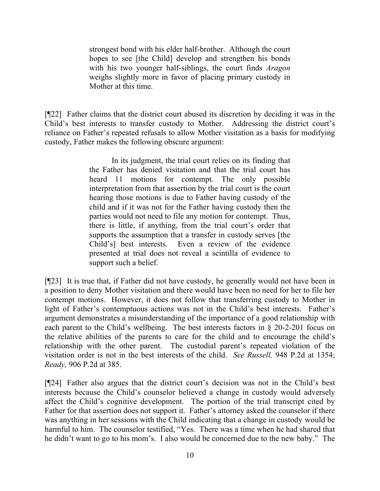strongest bond with his elder half-brother. Although the court hopes to see [the Child] develop and strengthen his bonds with his two younger half-siblings, the court finds *Aragon*  weighs slightly more in favor of placing primary custody in Mother at this time.

[¶22] Father claims that the district court abused its discretion by deciding it was in the Child's best interests to transfer custody to Mother. Addressing the district court's reliance on Father's repeated refusals to allow Mother visitation as a basis for modifying custody, Father makes the following obscure argument:

> In its judgment, the trial court relies on its finding that the Father has denied visitation and that the trial court has heard 11 motions for contempt. The only possible interpretation from that assertion by the trial court is the court hearing those motions is due to Father having custody of the child and if it was not for the Father having custody then the parties would not need to file any motion for contempt. Thus, there is little, if anything, from the trial court's order that supports the assumption that a transfer in custody serves [the Child's] best interests. Even a review of the evidence presented at trial does not reveal a scintilla of evidence to support such a belief.

[¶23] It is true that, if Father did not have custody, he generally would not have been in a position to deny Mother visitation and there would have been no need for her to file her contempt motions. However, it does not follow that transferring custody to Mother in light of Father's contemptuous actions was not in the Child's best interests. Father's argument demonstrates a misunderstanding of the importance of a good relationship with each parent to the Child's wellbeing. The best interests factors in § 20-2-201 focus on the relative abilities of the parents to care for the child and to encourage the child's relationship with the other parent. The custodial parent's repeated violation of the visitation order is not in the best interests of the child. *See Russell,* 948 P.2d at 1354; *Ready,* 906 P.2d at 385.

[¶24] Father also argues that the district court's decision was not in the Child's best interests because the Child's counselor believed a change in custody would adversely affect the Child's cognitive development. The portion of the trial transcript cited by Father for that assertion does not support it. Father's attorney asked the counselor if there was anything in her sessions with the Child indicating that a change in custody would be harmful to him. The counselor testified, "Yes. There was a time when he had shared that he didn't want to go to his mom's. I also would be concerned due to the new baby." The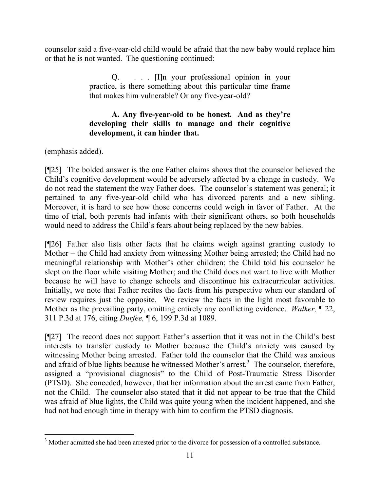counselor said a five-year-old child would be afraid that the new baby would replace him or that he is not wanted. The questioning continued:

> Q. . . . [I]n your professional opinion in your practice, is there something about this particular time frame that makes him vulnerable? Or any five-year-old?

## **A. Any five-year-old to be honest. And as they're developing their skills to manage and their cognitive development, it can hinder that.**

(emphasis added).

[¶25] The bolded answer is the one Father claims shows that the counselor believed the Child's cognitive development would be adversely affected by a change in custody. We do not read the statement the way Father does. The counselor's statement was general; it pertained to any five-year-old child who has divorced parents and a new sibling. Moreover, it is hard to see how those concerns could weigh in favor of Father. At the time of trial, both parents had infants with their significant others, so both households would need to address the Child's fears about being replaced by the new babies.

[¶26] Father also lists other facts that he claims weigh against granting custody to Mother – the Child had anxiety from witnessing Mother being arrested; the Child had no meaningful relationship with Mother's other children; the Child told his counselor he slept on the floor while visiting Mother; and the Child does not want to live with Mother because he will have to change schools and discontinue his extracurricular activities. Initially, we note that Father recites the facts from his perspective when our standard of review requires just the opposite. We review the facts in the light most favorable to Mother as the prevailing party, omitting entirely any conflicting evidence. *Walker,* ¶ 22, 311 P.3d at 176, citing *Durfee,* ¶ 6, 199 P.3d at 1089.

[¶27] The record does not support Father's assertion that it was not in the Child's best interests to transfer custody to Mother because the Child's anxiety was caused by witnessing Mother being arrested. Father told the counselor that the Child was anxious and afraid of blue lights because he witnessed Mother's arrest.<sup>3</sup> The counselor, therefore, assigned a "provisional diagnosis" to the Child of Post-Traumatic Stress Disorder (PTSD). She conceded, however, that her information about the arrest came from Father, not the Child. The counselor also stated that it did not appear to be true that the Child was afraid of blue lights, the Child was quite young when the incident happened, and she had not had enough time in therapy with him to confirm the PTSD diagnosis.

l <sup>3</sup> Mother admitted she had been arrested prior to the divorce for possession of a controlled substance.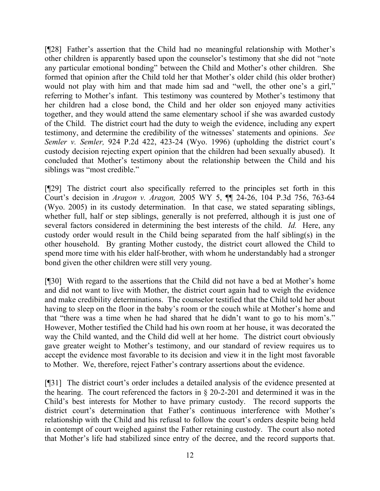[¶28] Father's assertion that the Child had no meaningful relationship with Mother's other children is apparently based upon the counselor's testimony that she did not "note any particular emotional bonding" between the Child and Mother's other children. She formed that opinion after the Child told her that Mother's older child (his older brother) would not play with him and that made him sad and "well, the other one's a girl," referring to Mother's infant. This testimony was countered by Mother's testimony that her children had a close bond, the Child and her older son enjoyed many activities together, and they would attend the same elementary school if she was awarded custody of the Child. The district court had the duty to weigh the evidence, including any expert testimony, and determine the credibility of the witnesses' statements and opinions. *See Semler v. Semler,* 924 P.2d 422, 423-24 (Wyo. 1996) (upholding the district court's custody decision rejecting expert opinion that the children had been sexually abused). It concluded that Mother's testimony about the relationship between the Child and his siblings was "most credible."

[¶29] The district court also specifically referred to the principles set forth in this Court's decision in *Aragon v. Aragon,* 2005 WY 5, ¶¶ 24-26, 104 P.3d 756, 763-64 (Wyo. 2005) in its custody determination. In that case, we stated separating siblings, whether full, half or step siblings, generally is not preferred, although it is just one of several factors considered in determining the best interests of the child. *Id.* Here, any custody order would result in the Child being separated from the half sibling(s) in the other household. By granting Mother custody, the district court allowed the Child to spend more time with his elder half-brother, with whom he understandably had a stronger bond given the other children were still very young.

[¶30] With regard to the assertions that the Child did not have a bed at Mother's home and did not want to live with Mother, the district court again had to weigh the evidence and make credibility determinations. The counselor testified that the Child told her about having to sleep on the floor in the baby's room or the couch while at Mother's home and that "there was a time when he had shared that he didn't want to go to his mom's." However, Mother testified the Child had his own room at her house, it was decorated the way the Child wanted, and the Child did well at her home. The district court obviously gave greater weight to Mother's testimony, and our standard of review requires us to accept the evidence most favorable to its decision and view it in the light most favorable to Mother. We, therefore, reject Father's contrary assertions about the evidence.

[¶31] The district court's order includes a detailed analysis of the evidence presented at the hearing. The court referenced the factors in § 20-2-201 and determined it was in the Child's best interests for Mother to have primary custody. The record supports the district court's determination that Father's continuous interference with Mother's relationship with the Child and his refusal to follow the court's orders despite being held in contempt of court weighed against the Father retaining custody. The court also noted that Mother's life had stabilized since entry of the decree, and the record supports that.